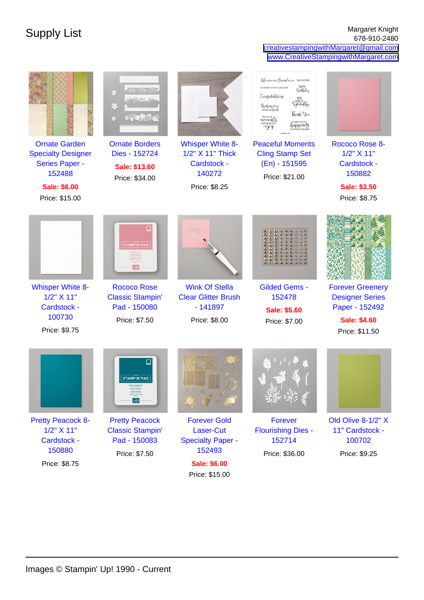## Supply List Margaret Knight 678-910-2480 [creativestampingwithMargaret@gmail.com](mailto:creativestampingwithMargaret@gmail.com) [www.CreativeStampingwithMargaret.com](http://www.CreativeStampingwithMargaret.com)

| <b>Ornate Garden</b><br><b>Specialty Designer</b><br>Series Paper -<br>152488<br><b>Sale: \$6.00</b><br>Price: \$15.00 | $\left( 0\right) <\left( 0\right) <\left( 0\right)$<br>数<br>箒<br>壑<br><b>Ornate Borders</b><br>Dies - 152724<br>Sale: \$13.60<br>Price: \$34.00 | <b>Whisper White 8-</b><br>1/2" X 11" Thick<br>Cardstock -<br>140272<br>Price: \$8.25 | Life is better with a Cice nel like you<br>ALWAYS REMEMBER<br>You shouldn't have, but I'm glad you did<br>Beithday<br>Congratulations<br>WITH<br>Sympathy.<br>Funking of you<br>with all my heard.<br>Thank You<br>These are the type and the<br>WSING YOU EVERY<br>with jet of<br>happiness<br>11s settu turut 11ns<br><b>Peaceful Moments</b><br><b>Cling Stamp Set</b><br>(En) - 151595<br>Price: \$21.00 | Rococo Rose 8-<br>1/2" X 11"<br>Cardstock -<br>150882<br><b>Sale: \$3.50</b><br>Price: \$8.75                |
|------------------------------------------------------------------------------------------------------------------------|-------------------------------------------------------------------------------------------------------------------------------------------------|---------------------------------------------------------------------------------------|--------------------------------------------------------------------------------------------------------------------------------------------------------------------------------------------------------------------------------------------------------------------------------------------------------------------------------------------------------------------------------------------------------------|--------------------------------------------------------------------------------------------------------------|
| <b>Whisper White 8-</b><br>1/2" X 11"<br><b>Cardstock -</b><br>100730<br>Price: \$9.75                                 | <b>STAMPIN' PAD</b><br><b>Rococo Rose</b><br><b>Classic Stampin'</b><br>Pad - 150080<br>Price: \$7.50                                           | <b>Wink Of Stella</b><br><b>Clear Glitter Brush</b><br>$-141897$<br>Price: \$8.00     | <b>Gilded Gems -</b><br>152478<br><b>Sale: \$5.60</b><br>Price: \$7.00                                                                                                                                                                                                                                                                                                                                       | <b>Forever Greenery</b><br><b>Designer Series</b><br>Paper - 152492<br><b>Sale: \$4.60</b><br>Price: \$11.50 |
|                                                                                                                        | <b>STAMPIN' PAD</b>                                                                                                                             |                                                                                       |                                                                                                                                                                                                                                                                                                                                                                                                              |                                                                                                              |
| <b>Pretty Peacock 8-</b><br>$1/2$ " $X$ 11"                                                                            | <b>Pretty Peacock</b><br><b>Classic Stampin'</b>                                                                                                | <b>Forever Gold</b><br>Laser-Cut                                                      | Forever<br><b>Flourishing Dies -</b>                                                                                                                                                                                                                                                                                                                                                                         | Old Olive 8-1/2" X<br>11" Cardstock -                                                                        |
| <b>Cardstock -</b><br>150880                                                                                           | Pad - 150083                                                                                                                                    | <b>Specialty Paper -</b><br>152493                                                    | 152714                                                                                                                                                                                                                                                                                                                                                                                                       | 100702                                                                                                       |
| Price: \$8.75                                                                                                          | Price: \$7.50                                                                                                                                   | <b>Sale: \$6.00</b>                                                                   | Price: \$36.00                                                                                                                                                                                                                                                                                                                                                                                               | Price: \$9.25                                                                                                |

Price: \$15.00